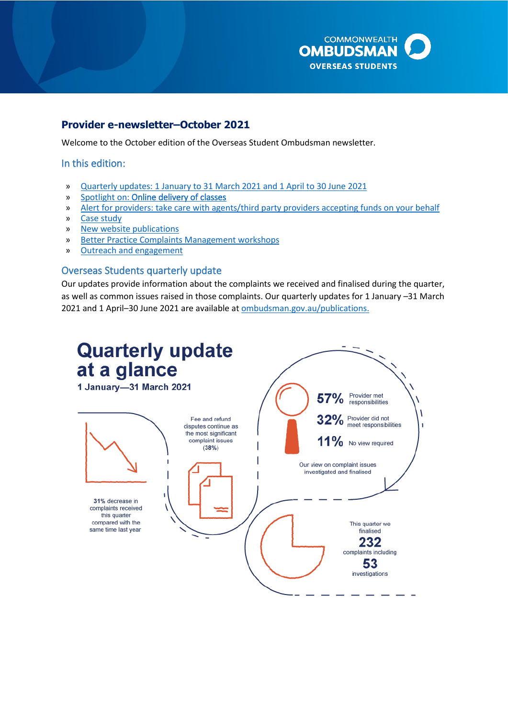

## **Provider e-newsletter–October 2021**

Welcome to the October edition of the Overseas Student Ombudsman newsletter.

### In this edition:

- » [Quarterly updates: 1 January to 31 March 2021 and 1 April to 30 June 2021](#page-0-0)
- » Spotlight on: [Online delivery of classes](#page-2-0)
- » [Alert for providers: take care with agents/third party providers accepting funds on your behalf](#page-2-1)
- » [Case study](#page-4-0)
- » [New website publications](#page-5-0)
- » [Better Practice Complaints Management workshops](#page-5-1)
- » [Outreach and engagement](#page-6-0)

#### <span id="page-0-0"></span>Overseas Students quarterly update

 as well as common issues raised in those complaints. Our quarterly updates for 1 January –31 March Our updates provide information about the complaints we received and finalised during the quarter, 2021 and 1 April–30 June 2021 are available a[t ombudsman.gov.au/publications.](http://www.ombudsman.gov.au/publications)

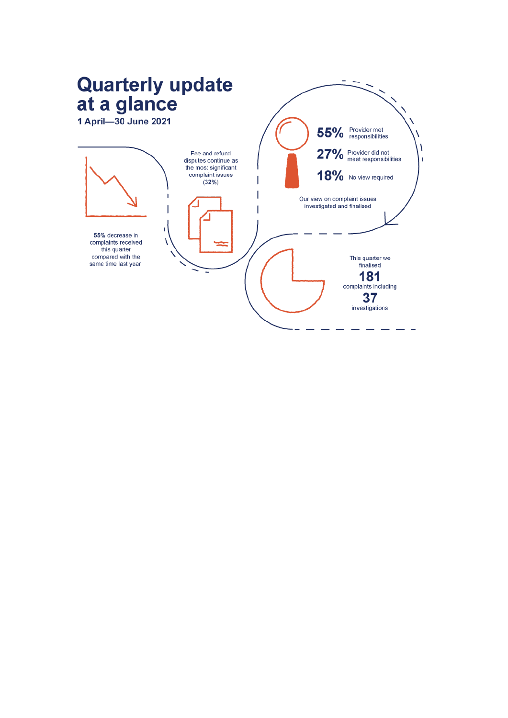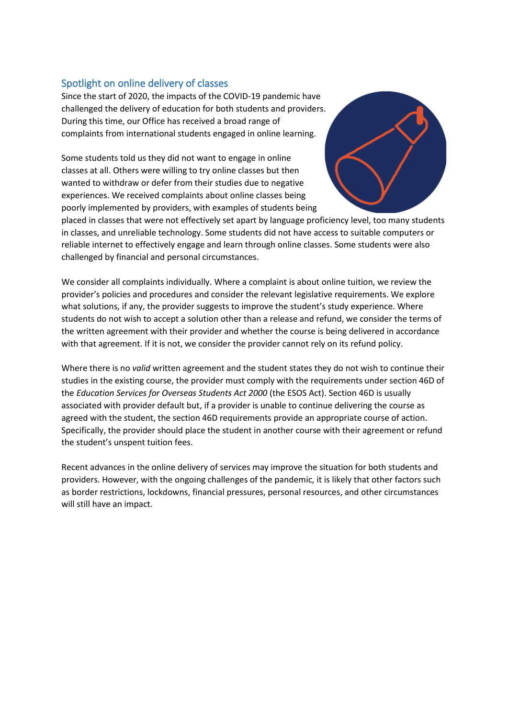# <span id="page-2-0"></span>Spotlight on online delivery of classes

Since the start of 2020, the impacts of the COVID-19 pandemic have challenged the delivery of education for both students and providers. During this time, our Office has received a broad range of complaints from international students engaged in online learning.

 Some students told us they did not want to engage in online classes at all. Others were willing to try online classes but then wanted to withdraw or defer from their studies due to negative experiences. We received complaints about online classes being poorly implemented by providers, with examples of students being



placed in classes that were not effectively set apart by language proficiency level, too many students in classes, and unreliable technology. Some students did not have access to suitable computers or reliable internet to effectively engage and learn through online classes. Some students were also challenged by financial and personal circumstances.

 what solutions, if any, the provider suggests to improve the student's study experience. Where We consider all complaints individually. Where a complaint is about online tuition, we review the provider's policies and procedures and consider the relevant legislative requirements. We explore students do not wish to accept a solution other than a release and refund, we consider the terms of the written agreement with their provider and whether the course is being delivered in accordance with that agreement. If it is not, we consider the provider cannot rely on its refund policy.

 studies in the existing course, the provider must comply with the requirements under section 46D of Where there is no *valid* written agreement and the student states they do not wish to continue their the *Education Services for Overseas Students Act 2000* (the ESOS Act). Section 46D is usually associated with provider default but, if a provider is unable to continue delivering the course as agreed with the student, the section 46D requirements provide an appropriate course of action. Specifically, the provider should place the student in another course with their agreement or refund the student's unspent tuition fees.

<span id="page-2-1"></span>Recent advances in the online delivery of services may improve the situation for both students and providers. However, with the ongoing challenges of the pandemic, it is likely that other factors such as border restrictions, lockdowns, financial pressures, personal resources, and other circumstances will still have an impact.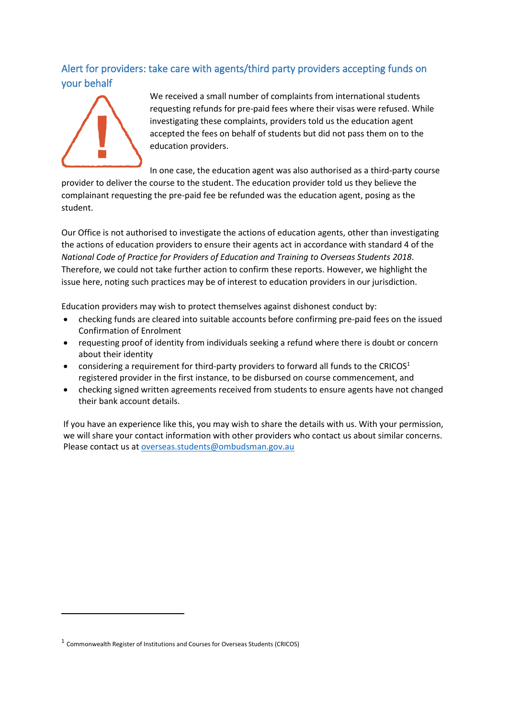# Alert for providers: take care with agents/third party providers accepting funds on your behalf



We received a small number of complaints from international students requesting refunds for pre-paid fees where their visas were refused. While investigating these complaints, providers told us the education agent accepted the fees on behalf of students but did not pass them on to the education providers.

In one case, the education agent was also authorised as a third-party course

provider to deliver the course to the student. The education provider told us they believe the complainant requesting the pre-paid fee be refunded was the education agent, posing as the student.

 Therefore, we could not take further action to confirm these reports. However, we highlight the Our Office is not authorised to investigate the actions of education agents, other than investigating the actions of education providers to ensure their agents act in accordance with standard 4 of the *National Code of Practice for Providers of Education and Training to Overseas Students 2018*. issue here, noting such practices may be of interest to education providers in our jurisdiction.

Education providers may wish to protect themselves against dishonest conduct by:

- checking funds are cleared into suitable accounts before confirming pre-paid fees on the issued Confirmation of Enrolment
- requesting proof of identity from individuals seeking a refund where there is doubt or concern about their identity
- considering a requirement for third-party providers to forward all funds to the CRICOS<sup>1</sup> registered provider in the first instance, to be disbursed on course commencement, and
- checking signed written agreements received from students to ensure agents have not changed their bank account details.

 If you have an experience like this, you may wish to share the details with us. With your permission, we will share your contact information with other providers who contact us about similar concerns. Please contact us a[t overseas.students@ombudsman.gov.au](mailto:overseas.students@ombudsman.gov.au) 

<sup>1</sup> Commonwealth Register of Institutions and Courses for Overseas Students (CRICOS)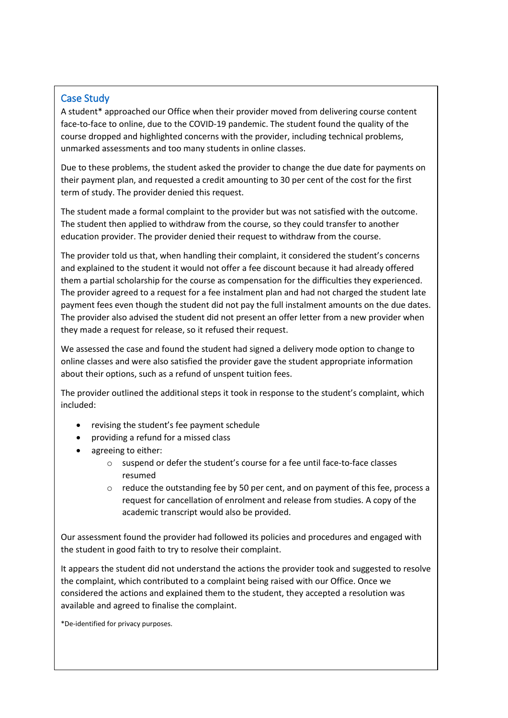# <span id="page-4-0"></span>Case Study

 unmarked assessments and too many students in online classes. A student\* approached our Office when their provider moved from delivering course content face-to-face to online, due to the COVID-19 pandemic. The student found the quality of the course dropped and highlighted concerns with the provider, including technical problems,

 Due to these problems, the student asked the provider to change the due date for payments on their payment plan, and requested a credit amounting to 30 per cent of the cost for the first term of study. The provider denied this request.

The student made a formal complaint to the provider but was not satisfied with the outcome. The student then applied to withdraw from the course, so they could transfer to another education provider. The provider denied their request to withdraw from the course.

 payment fees even though the student did not pay the full instalment amounts on the due dates. they made a request for release, so it refused their request. The provider told us that, when handling their complaint, it considered the student's concerns and explained to the student it would not offer a fee discount because it had already offered them a partial scholarship for the course as compensation for the difficulties they experienced. The provider agreed to a request for a fee instalment plan and had not charged the student late The provider also advised the student did not present an offer letter from a new provider when

We assessed the case and found the student had signed a delivery mode option to change to online classes and were also satisfied the provider gave the student appropriate information about their options, such as a refund of unspent tuition fees.

The provider outlined the additional steps it took in response to the student's complaint, which included:

- revising the student's fee payment schedule
- providing a refund for a missed class
- agreeing to either:
	- o suspend or defer the student's course for a fee until face-to-face classes resumed
	- $\circ$  reduce the outstanding fee by 50 per cent, and on payment of this fee, process a request for cancellation of enrolment and release from studies. A copy of the academic transcript would also be provided.

Our assessment found the provider had followed its policies and procedures and engaged with the student in good faith to try to resolve their complaint.

It appears the student did not understand the actions the provider took and suggested to resolve the complaint, which contributed to a complaint being raised with our Office. Once we considered the actions and explained them to the student, they accepted a resolution was available and agreed to finalise the complaint.

\*De-identified for privacy purposes.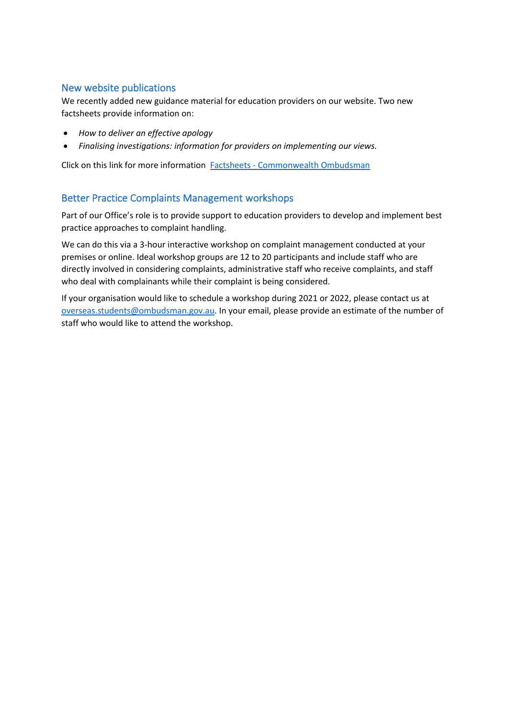## <span id="page-5-0"></span>New website publications

We recently added new guidance material for education providers on our website. Two new factsheets provide information on:

- *How to deliver an effective apology*
- *Finalising investigations: information for providers on implementing our views.*

Click on this link for more information **Factsheets - Commonwealth Ombudsman** 

#### <span id="page-5-1"></span>Better Practice Complaints Management workshops

Part of our Office's role is to provide support to education providers to develop and implement best practice approaches to complaint handling.

We can do this via a 3-hour interactive workshop on complaint management conducted at your premises or online. Ideal workshop groups are 12 to 20 participants and include staff who are directly involved in considering complaints, administrative staff who receive complaints, and staff who deal with complainants while their complaint is being considered.

If your organisation would like to schedule a workshop during 2021 or 2022, please contact us at [overseas.students@ombudsman.gov.au.](mailto:overseas.students@ombudsman.gov.au) In your email, please provide an estimate of the number of staff who would like to attend the workshop.